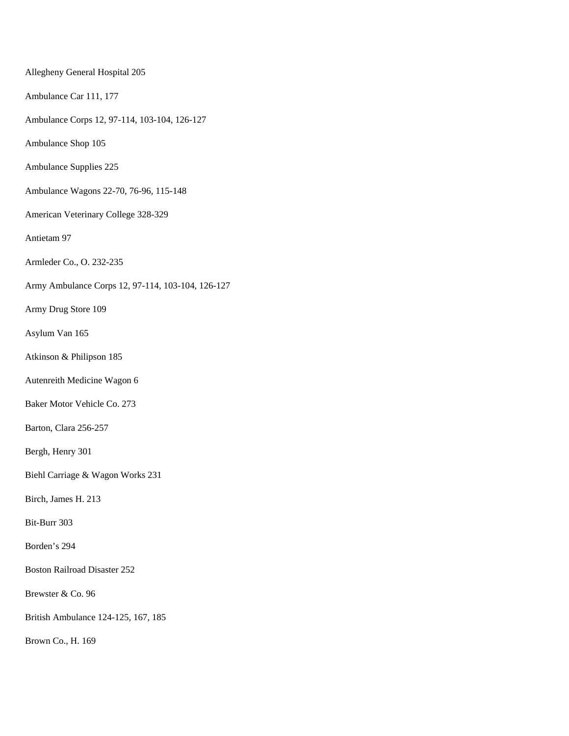Allegheny General Hospital 205 Ambulance Car 111, 177 Ambulance Corps 12, 97-114, 103-104, 126-127 Ambulance Shop 105 Ambulance Supplies 225 Ambulance Wagons 22-70, 76-96, 115-148 American Veterinary College 328-329 Antietam 97 Armleder Co., O. 232-235 Army Ambulance Corps 12, 97-114, 103-104, 126-127 Army Drug Store 109 Asylum Van 165 Atkinson & Philipson 185 Autenreith Medicine Wagon 6 Baker Motor Vehicle Co. 273 Barton, Clara 256-257 Bergh, Henry 301 Biehl Carriage & Wagon Works 231 Birch, James H. 213 Bit-Burr 303 Borden's 294 Boston Railroad Disaster 252 Brewster & Co. 96 British Ambulance 124-125, 167, 185 Brown Co., H. 169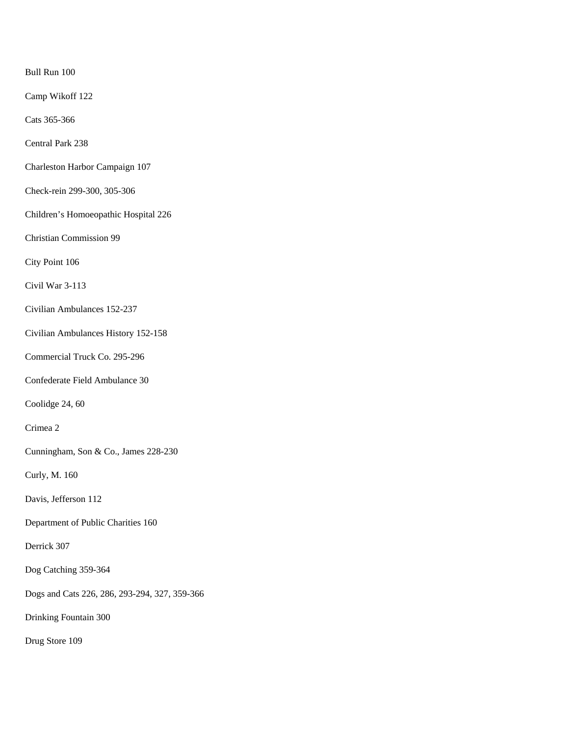Bull Run 100

Camp Wikoff 122

Cats 365-366

Central Park 238

Charleston Harbor Campaign 107

Check-rein 299-300, 305-306

Children's Homoeopathic Hospital 226

Christian Commission 99

City Point 106

Civil War 3-113

Civilian Ambulances 152-237

Civilian Ambulances History 152-158

Commercial Truck Co. 295-296

Confederate Field Ambulance 30

Coolidge 24, 60

Crimea 2

Cunningham, Son & Co., James 228-230

Curly, M. 160

Davis, Jefferson 112

Department of Public Charities 160

Derrick 307

Dog Catching 359-364

Dogs and Cats 226, 286, 293-294, 327, 359-366

Drinking Fountain 300

Drug Store 109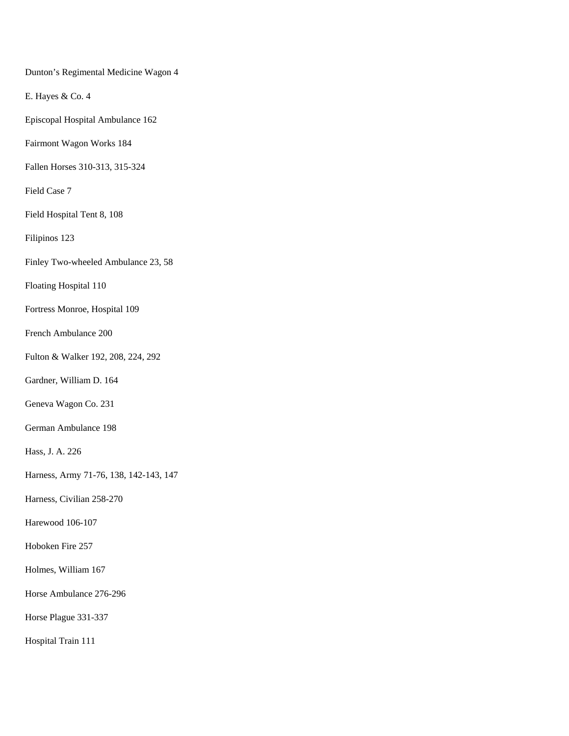Dunton's Regimental Medicine Wagon 4

E. Hayes & Co. 4

Episcopal Hospital Ambulance 162

Fairmont Wagon Works 184

Fallen Horses 310-313, 315-324

Field Case 7

Field Hospital Tent 8, 108

Filipinos 123

Finley Two-wheeled Ambulance 23, 58

Floating Hospital 110

Fortress Monroe, Hospital 109

French Ambulance 200

Fulton & Walker 192, 208, 224, 292

Gardner, William D. 164

Geneva Wagon Co. 231

German Ambulance 198

Hass, J. A. 226

Harness, Army 71-76, 138, 142-143, 147

Harness, Civilian 258-270

Harewood 106-107

Hoboken Fire 257

Holmes, William 167

Horse Ambulance 276-296

Horse Plague 331-337

Hospital Train 111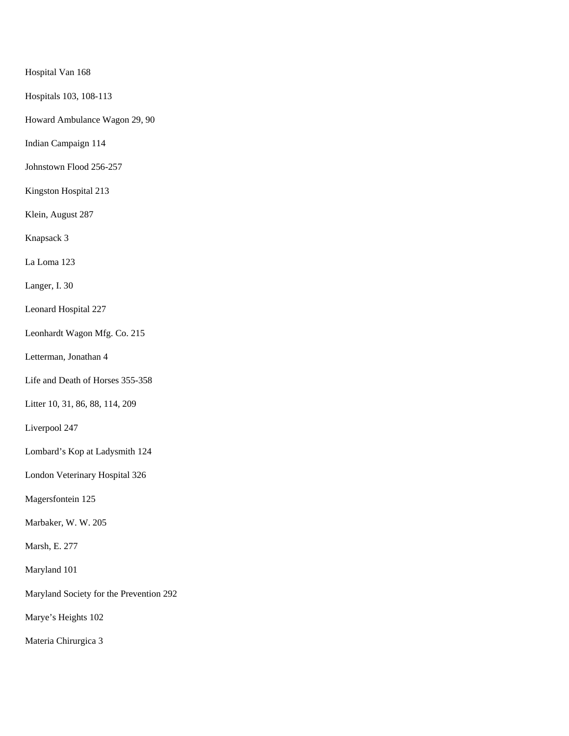Hospital Van 168

Hospitals 103, 108-113

Howard Ambulance Wagon 29, 90

Indian Campaign 114

Johnstown Flood 256-257

Kingston Hospital 213

Klein, August 287

Knapsack 3

La Loma 123

Langer, I. 30

Leonard Hospital 227

Leonhardt Wagon Mfg. Co. 215

Letterman, Jonathan 4

Life and Death of Horses 355-358

Litter 10, 31, 86, 88, 114, 209

Liverpool 247

Lombard's Kop at Ladysmith 124

London Veterinary Hospital 326

Magersfontein 125

Marbaker, W. W. 205

Marsh, E. 277

Maryland 101

Maryland Society for the Prevention 292

Marye's Heights 102

Materia Chirurgica 3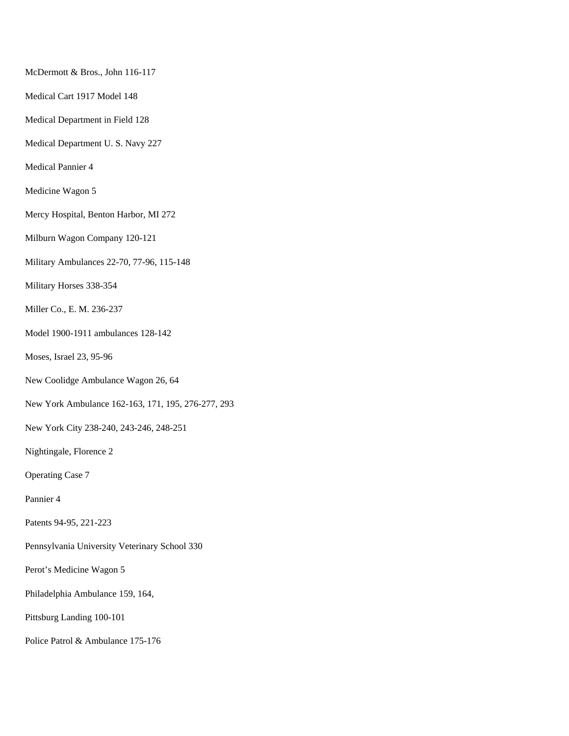McDermott & Bros., John 116-117

Medical Cart 1917 Model 148

Medical Department in Field 128

Medical Department U. S. Navy 227

Medical Pannier 4

Medicine Wagon 5

Mercy Hospital, Benton Harbor, MI 272

Milburn Wagon Company 120-121

Military Ambulances 22-70, 77-96, 115-148

Military Horses 338-354

Miller Co., E. M. 236-237

Model 1900-1911 ambulances 128-142

Moses, Israel 23, 95-96

New Coolidge Ambulance Wagon 26, 64

New York Ambulance 162-163, 171, 195, 276-277, 293

New York City 238-240, 243-246, 248-251

Nightingale, Florence 2

Operating Case 7

Pannier 4

Patents 94-95, 221-223

Pennsylvania University Veterinary School 330

Perot's Medicine Wagon 5

Philadelphia Ambulance 159, 164,

Pittsburg Landing 100-101

Police Patrol & Ambulance 175-176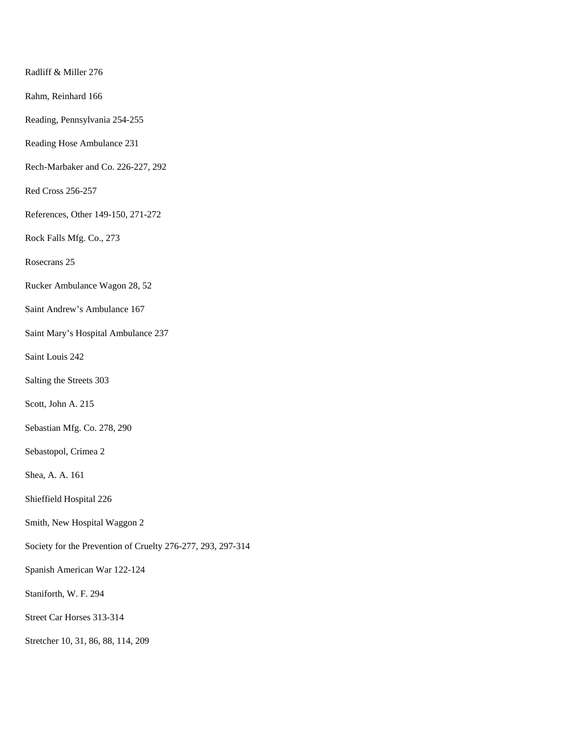Radliff & Miller 276

Rahm, Reinhard 166

Reading, Pennsylvania 254-255

Reading Hose Ambulance 231

Rech-Marbaker and Co. 226-227, 292

Red Cross 256-257

References, Other 149-150, 271-272

Rock Falls Mfg. Co., 273

Rosecrans 25

Rucker Ambulance Wagon 28, 52

Saint Andrew's Ambulance 167

Saint Mary's Hospital Ambulance 237

Saint Louis 242

Salting the Streets 303

Scott, John A. 215

Sebastian Mfg. Co. 278, 290

Sebastopol, Crimea 2

Shea, A. A. 161

Shieffield Hospital 226

Smith, New Hospital Waggon 2

Society for the Prevention of Cruelty 276-277, 293, 297-314

Spanish American War 122-124

Staniforth, W. F. 294

Street Car Horses 313-314

Stretcher 10, 31, 86, 88, 114, 209